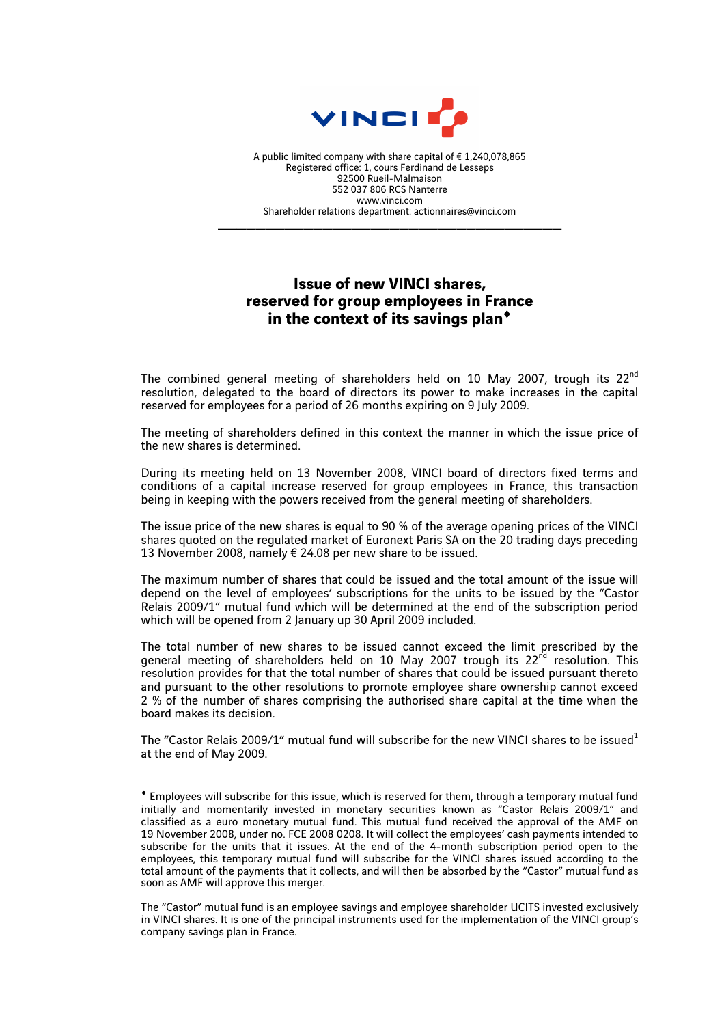

A public limited company with share capital of € 1,240,078,865 Registered office: 1, cours Ferdinand de Lesseps 92500 Rueil-Malmaison 552 037 806 RCS Nanterre www.vinci.com Shareholder relations department: actionnaires@vinci.com

\_\_\_\_\_\_\_\_\_\_\_\_\_\_\_\_\_\_\_\_\_\_\_\_\_\_\_\_\_\_\_\_\_\_\_\_

## **Issue of new VINCI shares, reserved for group employees in France in the context of its savings plan**♦

The combined general meeting of shareholders held on 10 May 2007, trough its 22<sup>nd</sup> resolution, delegated to the board of directors its power to make increases in the capital reserved for employees for a period of 26 months expiring on 9 July 2009.

The meeting of shareholders defined in this context the manner in which the issue price of the new shares is determined.

During its meeting held on 13 November 2008, VINCI board of directors fixed terms and conditions of a capital increase reserved for group employees in France, this transaction being in keeping with the powers received from the general meeting of shareholders.

The issue price of the new shares is equal to 90 % of the average opening prices of the VINCI shares quoted on the regulated market of Euronext Paris SA on the 20 trading days preceding 13 November 2008, namely € 24.08 per new share to be issued.

The maximum number of shares that could be issued and the total amount of the issue will depend on the level of employees' subscriptions for the units to be issued by the "Castor Relais 2009/1" mutual fund which will be determined at the end of the subscription period which will be opened from 2 January up 30 April 2009 included.

The total number of new shares to be issued cannot exceed the limit prescribed by the general meeting of shareholders held on 10 May 2007 trough its  $22<sup>nd</sup>$  resolution. This resolution provides for that the total number of shares that could be issued pursuant thereto and pursuant to the other resolutions to promote employee share ownership cannot exceed 2 % of the number of shares comprising the authorised share capital at the time when the board makes its decision.

The "Castor Relais 2009/1" mutual fund will subscribe for the new VINCI shares to be issued at the end of May 2009.

 $\overline{a}$ 

<sup>♦</sup> Employees will subscribe for this issue, which is reserved for them, through a temporary mutual fund initially and momentarily invested in monetary securities known as "Castor Relais 2009/1" and classified as a euro monetary mutual fund. This mutual fund received the approval of the AMF on 19 November 2008, under no. FCE 2008 0208. It will collect the employees' cash payments intended to subscribe for the units that it issues. At the end of the 4-month subscription period open to the employees, this temporary mutual fund will subscribe for the VINCI shares issued according to the total amount of the payments that it collects, and will then be absorbed by the "Castor" mutual fund as soon as AMF will approve this merger.

The "Castor" mutual fund is an employee savings and employee shareholder UCITS invested exclusively in VINCI shares. It is one of the principal instruments used for the implementation of the VINCI group's company savings plan in France.